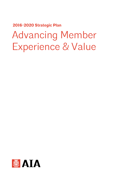**2016-2020 Strategic Plan**

# Advancing Member Experience & Value

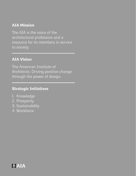#### **AIA Mission**

The AIA is the voice of the architectural profession and a resource for its members in service to society.

#### **AIA Vision**

The American Institute of Architects: Driving positive change through the power of design.

#### **Strategic Initiatives**

- 1. Knowledge
- 2. Prosperity
- 3. Sustainability
- 4. Workforce

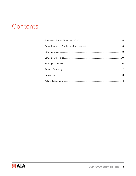#### <span id="page-2-0"></span>Contents

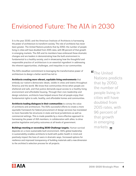#### <span id="page-3-0"></span>Envisioned Future: The AIA in 2030

It is the year 2030, and the American Institute of Architects is harnessing the power of architecture to transform society. The role of architects has never been greater. The United Nations predicts that by 2050, the number of people living in cities will have doubled from 2015 rates, with 96 percent of that growth in emerging markets. The AIA and its members have embraced these dramatic changes and are leaders in demonstrating how the built environment is fundamental to a healthy society, and in showcasing how the thoughtful and responsible practice of architecture is an essential ingredient in addressing the inherent opportunities, challenges, and inequities in our communities.

The AIA's steadfast commitment to leveraging the transformative power of architecture to design a better world has led to:

**Architects creating more vibrant, equitable living environments** that embody our nation's democratic ideals, visible in cities and towns throughout America and the world. We know that communities thrive when people are sheltered and safe, and that justice demands equal access to a healthy living environment and affordable housing. Through their civic leadership and design solutions, architects have helped ensure that all people enjoy their fundamental rights to safe, healthy, and affordable homes and communities.

**Architects leading dialogues in their communities** to convey the value of architects and architecture. The AIA's successful efforts to create a more equitable framework for federal procurement of design services has translated to more favorable fee structures in state and local jurisdictions as well as commercial settings. This is made possible by a more effective approach to harnessing the power of AIA members, in collaboration with allies, to drive positive legislative and policy outcomes at all levels of government.

**Buildings meeting or exceeding 2030 Challenge targets.** Human survival depends on a more sustainable built environment. AIA's global leadership in sustainability enables architects to build with public health in mind and positively impact the lives of users in dramatic ways. Increased options for resilience and improved transparency of building materials add a new dimension to the architect's selection process for all projects.

The United Nations predicts that by 2050, the number of people living in cities will have doubled from 2015 rates, with 96 percent of that growth in emerging markets.<sub>99</sub>

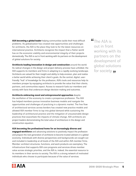**AIA becoming a global leader** helping communities tackle their most difficult problems. As globalization has created new opportunities and challenges for architects, the AIA is the place they look to for the latest resources on international practice. Architects recognize the impact that a flatter world has on the economic viability and environmental integrity of their projects domestically. The AIA is out in front working with its partners on the development of global solutions for society.

**Architects leading innovation in design and construction** around the world. As radical changes in the design and project delivery process have unfolded, the AIA supports its members and firms in adapting to a rapidly evolving landscape. Architects are valued for their insight and ability to help envision, plan and realize a better world while achieving their client's goals. As the central, digital, userfriendly "hub" of knowledge for the profession, AIA's tools and resources help its members prosper by equipping architects to provide the value that their clients, partners, and communities expect. Access to research fuels our members and society with facts that underscore design decision making and outcomes.

**Architects embracing novel and entrepreneurial approaches** despite the oscillation of the economy to create a prosperous profession. The AIA has helped members pursue innovative business models and navigate the opportunities and challenges of practicing in a dynamic market. The free flow of architectural services across borders has created new practice models and allowed AIA member firms to tap into global demand while sustaining the leadership of architectural practice and the mitigation of unsustainable design practices that exacerbate the impacts of climate change. AIA architects are project leaders demonstrating the total value of architecture in the design and construction equation.

#### **AIA becoming the professional home for an increasingly diverse and**

**engaged workforce** and advancing solutions to positively impact the profession and prepare the next generation of architects to become trusted advisers in a global economy. Individuals with diverse perspectives and backgrounds are sought out and included in leadership at all levels of the AIA and within AIA member firms. Member-architect structures, functions, and work products are exemplary. The infrastructure that supports AIA core programs and services drives member value across strategic priorities, and the AIA is, indeed, the essential resource to its members in their service to society. The AIA is a strong network of motivated individuals who choose to participate because of the value of services.

The AIA is out in front working with its partners on the development of global solutions for society. **,** 

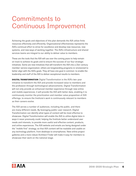#### <span id="page-5-0"></span>Commitments to Continuous Improvement

Achieving the goals and objectives of this plan demands the AIA utilize finite resources effectively and efficiently. Organizational effectiveness represents the AIA's continual effort to strive for excellence and develop new resources, new systems, and new ways of working together. The AIA's infrastructure and shared services teams are integral to our ability to deliver value to members.

These are the tools that the AIA will use over the coming years to help remain on track to achieve its goals and to ensure the success of our four strategic initiatives. Some are new initiatives that will transform the AIA into a 21st-century member-service organization; others are longstanding programs re-envisioned to better align with the AIA's goals. They all have one goal in common: to enable the leadership and staff of the AIA to deliver exceptional results to members.

**DIGITAL TRANSFORMATION** Digital Transformation is the AIA's two-year initiative to transform the AIA and provide increased value to members and the profession through technological advancements. Digital Transformation will not only provide an enhanced member experience through new online and mobile experiences; it will provide the AIA with better data, enabling it to continuously monitor the prioritization and member value proposition of AIA offerings, to ensure the Institute's work is continuously relevant to members as their careers evolve.

The AIA serves a number of audiences, including the public, and there are many different needs. By leveraging public-user research, Digital Transformation can identify what types of content will be most effective to showcase. Digital Transformation will enable the AIA to utilize digital data in ways it never previously could, helping the Institute better understand user needs and interests, to provide more useful and effective content, products, and online experiences. The AIA website and emails are being designed under the "mobile first" strategy, so that AIA content will be readable and usable on any technology platform, from desktops to smartphones. New online project galleries and a more robust Architect Finder will make it easy for members to showcase their work on the national stage.

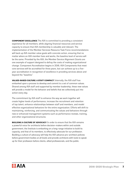**COMPONENT EXCELLENCE** The AIA is committed to providing a consistent experience for all members, while aligning financial resources and service capacity to ensure that AIA membership is valuable and relevant. The implementation of the Member Services Resource Task Force recommendations will back up AIA member value goals with concrete action, ensuring that no matter where an AIA member lives and works, the baseline level of service will be the same. Provided by the AIA, the Member Service Alignment Grants are one example of support designed to defray the costs of making organizational change. Component Accreditation begins in 2016; AIA Components that meet core services will be accredited for three years, but can achieve up to a fiveyear accreditation in recognition of excellence in providing services above and beyond the "baseline."

**VALUES-BASED CULTURE: A STAFF COMPACT** Internally, the AIA staff has embarked upon a process to develop and commit to a set of common values. Shared among AIA staff and supported by member leadership, these new values will provide a model for the behavior and beliefs that we collectively put into action every day.

The commitment by AIA staff to enhance the way we work together will create higher levels of performance, increase the recruitment and retention of top talent, enhance relationships between staff and members, and model effective organizational behaviors for the entire organization. Efforts will shift to maintaining, reinforcing, and communicating the values and behaviors through new or enhanced management systems such as performance reviews, training, and other organizational structures.

**BUILDING A CULTURE OF ADVOCACY** In order to ensure that the AIA remains a powerful voice for architects before decision-makers within and outside government, the Institute is embarking on a long-range initiative to build its capacity, and that of its members, to effectively advocate for our profession. Building a culture of advocacy will help the AIA advance pro-architect policies before government bodies at all levels and provide architects with tools to speak up for their profession before clients, allied professionals, and the public.

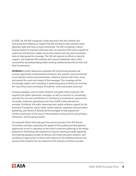In 2016, the AIA will inaugurate a bold new event that will combine realtime grassroots lobbying on Capitol Hill with training to help members bring advocacy skills and tools to every community. The AIA is building a robust, diverse network of member advocates who can advance AIA's policy agenda to audiences and decision-makers across the country and new communications tools to help spread the message. The AIA will expand its efforts to identify, support, and celebrate AIA members who assume leadership roles in their communities and policymaking bodies working collaboratively with all state and local Components.

**OUTREACH** A public awareness campaign will continuously develop new creative approaches to demonstrate architects' skill, passion, and commitment to serving their clients and communities. Audience research will refine, focus, and expand the reach and impact of the messages. The campaign will be increasingly explicit and compelling in showcasing what architects do and how the value they create contributes to healthier, more sustainable outcomes.

Existing strategies, such as media relations and public affairs outreach, will augment the public awareness campaign as well as continue to consistently promote the role and contributions of architects to professional, government, and public audiences, generating more than 4,000 media placements annually. Combined, the public awareness plan, public relations support for the Architects Foundation, social media, media relations, executive communication, publishing, and Honors & Awards will be leveraged to help expand and reinforce awareness of the value of the profession among clients, policymakers, influencers, and the general public.

The outreach efforts will build upon the current success of the AIA Annual Convention and Expo, expanding the appeal of this professional development opportunity to earn a reputation as the nation's premiere gathering of the design professions. Generating new experiences requires selecting broadly appealing and inspiring speakers as well as relevant and timely education sessions, and providing an opportunity to interact with experts on the building materials and services that comprise the raw material for the solutions architects provide.

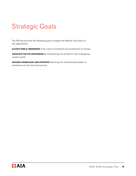## <span id="page-8-0"></span>Strategic Goals

The AIA has set forth the following goals to support the Mission and Vision of the organization:

**ELEVATE PUBLIC AWARENESS** of the value of architects and architecture to society.

**ADVOCATE FOR THE PROFESSION** by championing the architect's role in designing a better world.

**ADVANCE KNOWLEDGE AND EXPERTISE** that bring the transformative power of architecture to the built environment.

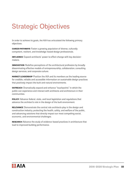## <span id="page-9-0"></span>Strategic Objectives

In order to achieve its goals, the AIA has articulated the following primary objectives:

**CAREER PATHWAYS** Foster a growing population of diverse, culturally competent, resilient, and knowledge-based design professionals.

**INFLUENCE** Expand architects' power to effect change with key decisionmakers.

**INNOVATION** Redefine perceptions of the architectural profession by broadly disseminating effective models of entrepreneurship, collaboration, consulting design services, and corporate culture.

**MARKET LEADERSHIP** Position the AIA and its members as the leading source for credible, reliable and accessible information on sustainable design practices that positively impact the built and natural environments.

**OUTREACH** Dramatically expand and enhance "touchpoints" in which the public can experience and interact with architects and architecture in their communities.

**POLICY** Advance federal, state, and local legislation and regulations that advance the architect's role in the design of the built environment.

**RELEVANCE** Demonstrate the central role architects play in the design and construction industry, protecting the health, safety, and welfare of the public, and advancing solutions that directly impact our most compelling social, economic, and environmental challenges.

**RESEARCH** Advance the study of evidence-based practices in architecture that lead to improved building performance.

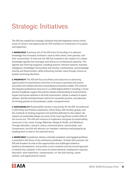## <span id="page-10-0"></span>Strategic Initiatives

The AIA has created four strategic initiatives that will emphasize certain critical areas of concern and opportunity for AIA members in furtherance of its goals and objectives:

**1. KNOWLEDGE** A primary aim of the AIA since its founding is to advance knowledge that increases architects' value to their clients, their practice, and their communities. To that end, the AIA has invested in the creation of a robust knowledge agenda that leverages and shares our professional expertise. The agenda sets forth key programs, including practice-relevant research, business intelligence, Knowledge Communities and member constituencies, and knowledge sharing and dissemination, while enhancing member value through a focus on quality continuing education.

**2. PROSPERITY** The AIA will focus its efforts and resources on advancing opportunities for practitioners and firms of all sizes to promote and sustain successful and resilient practices and prosperous business models. The initiative will integrate professional resources in a unified digital platform including a virtual practice handbook, support the practice-based understanding of environmental impact and human wellness in the built environment, initiate a network of expert advisers, identify and disseminate metrics for successful practice, and advocate for thriving practice to the profession, public, and government.

**3. SUSTAINABILITY** Sustainability remains a top priority for the AIA. As evidenced in AIA Policy and Position statements, Ethics Rules, AIA member groups, and the multitude of existing programs and activities dedicated to the subject, the impacts of sustainable design are some of the most significant market shifts of the current era. The AIA will continue to implement and grow its sustainability resources in four areas: Energy, Materials, Design & Health, and Resilience. Through education, research, policy, communications, partnerships, and Components, the AIA will advance our members' relevance and prosperity by enabling them to lead in this essential arena.

**4. WORKFORCE** A productive, diverse, culturally competent, and engaged workforce is essential to the future of the architecture profession. To foster this outcome, the AIA will broaden its view of the opportunities and challenges related to workforce development, and provide a more cohesive and structured approach to identify key catalysts in the areas of market demand, employment capacity, education, work experience, compensation, on-the-job training, career outlook, and organizational culture.

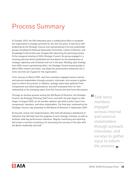### <span id="page-11-0"></span>Process Summary

In October 2014, the AIA embarked upon a collaborative effort to establish the organization's strategic priorities for the next five years. A task force with leadership by the Strategic Council and representatives from key stakeholder groups including the National Associates Committee, Culture Collective, and Knowledge Communities was charged with advancing the planning process. At the inaugural meeting of AIA's Strategic Council, the group engaged in a visioning exercise which established the foundation for the development of strategic objectives and initiatives laid out in this plan. Building upon findings from AIA's recent repositioning effort, the Strategic Council moved quickly to affirm AIA's mission and vision, and adapt the advancement statement into a more concrete set of goals for the organization.

From January to March 2015, task force members engaged various internal and external stakeholders through outreach, interviews, and surveys to gather input to inform the process. In addition, strategic plans were gathered from Components and allied organizations, and staff evaluated them for their relationship to the emerging topics from the Council and task force discussions.

Through an iterative process among the AIA Board of Directors, the Strategic Council, the Strategic Planning Task Force, and staff, the plan began to take shape. In August 2015, an all-member webinar was held to solicit input from components, members, and other stakeholders. The final plan, endorsed by the Strategic Council, was presented to AIA Board of Directors in September 2015.

As the plan moves into implementation, AIA staff will develop a dashboard of indicators that will help track the progress of each strategic initiative, as well as Institute-wide key performance indicators. Regular monitoring and reporting will create a common vocabulary for discussing the success of the plan with the Board, leadership and staff.

Task force members engaged various internal and external stakeholders through outreach, interviews, and surveys to gather input to inform the process. ,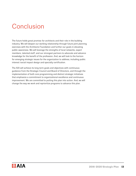### <span id="page-12-0"></span>**Conclusion**

The future holds great promise for architects and their role in the building industry. We will deepen our working relationship through future joint planning exercises with the Architects Foundation and further our goals in elevating public awareness. We will leverage the strengths of local networks, expert members, talented staff, and our strongest partners to advocate and advance knowledge for the benefit of the profession. And, we will look to the horizon for emerging strategic issues for the organization to address, including public interest/social impact design and specialty certification.

The AIA will achieve its long term goals and objectives with continuous guidance from the Strategic Council and Board of Directors, and through the implementation of both core programming and distinct strategic initiatives that emphasize a commitment to organizational excellence and continuous improvement. We are committed to putting this plan into action. And, we will change the way we work and reprioritize programs to advance this plan.